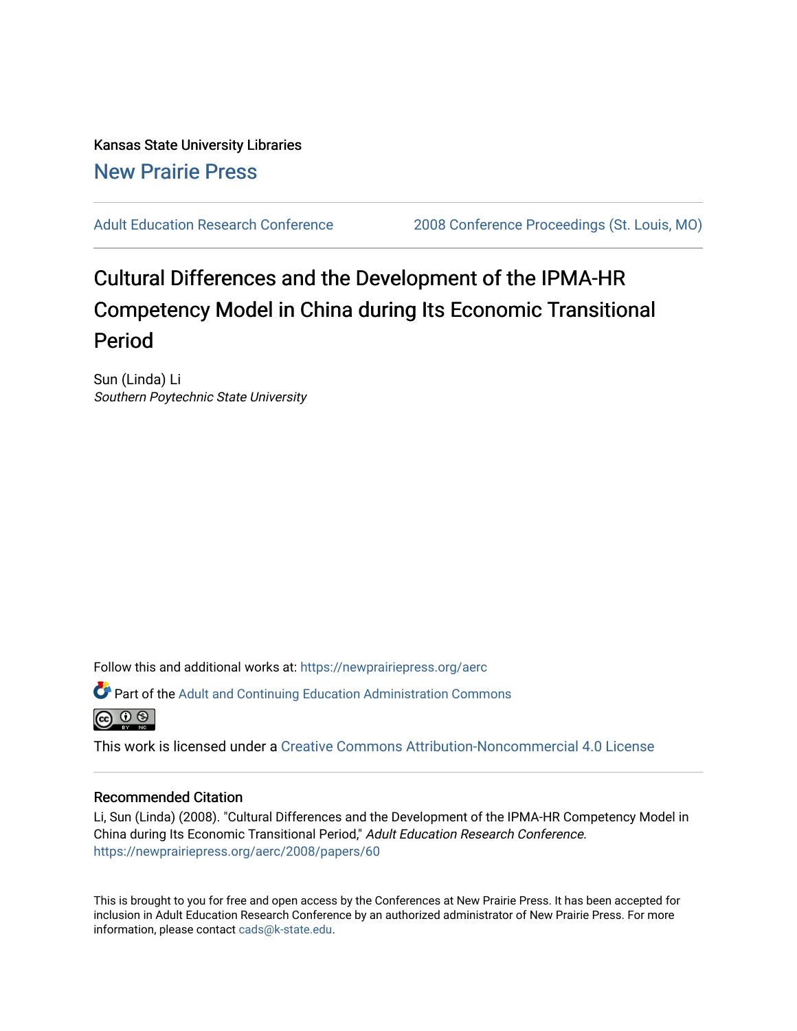Kansas State University Libraries [New Prairie Press](https://newprairiepress.org/) 

[Adult Education Research Conference](https://newprairiepress.org/aerc) [2008 Conference Proceedings \(St. Louis, MO\)](https://newprairiepress.org/aerc/2008) 

# Cultural Differences and the Development of the IPMA-HR Competency Model in China during Its Economic Transitional Period

Sun (Linda) Li Southern Poytechnic State University

Follow this and additional works at: [https://newprairiepress.org/aerc](https://newprairiepress.org/aerc?utm_source=newprairiepress.org%2Faerc%2F2008%2Fpapers%2F60&utm_medium=PDF&utm_campaign=PDFCoverPages)

Part of the [Adult and Continuing Education Administration Commons](http://network.bepress.com/hgg/discipline/789?utm_source=newprairiepress.org%2Faerc%2F2008%2Fpapers%2F60&utm_medium=PDF&utm_campaign=PDFCoverPages)



This work is licensed under a [Creative Commons Attribution-Noncommercial 4.0 License](https://creativecommons.org/licenses/by-nc/4.0/)

## Recommended Citation

Li, Sun (Linda) (2008). "Cultural Differences and the Development of the IPMA-HR Competency Model in China during Its Economic Transitional Period," Adult Education Research Conference. <https://newprairiepress.org/aerc/2008/papers/60>

This is brought to you for free and open access by the Conferences at New Prairie Press. It has been accepted for inclusion in Adult Education Research Conference by an authorized administrator of New Prairie Press. For more information, please contact [cads@k-state.edu](mailto:cads@k-state.edu).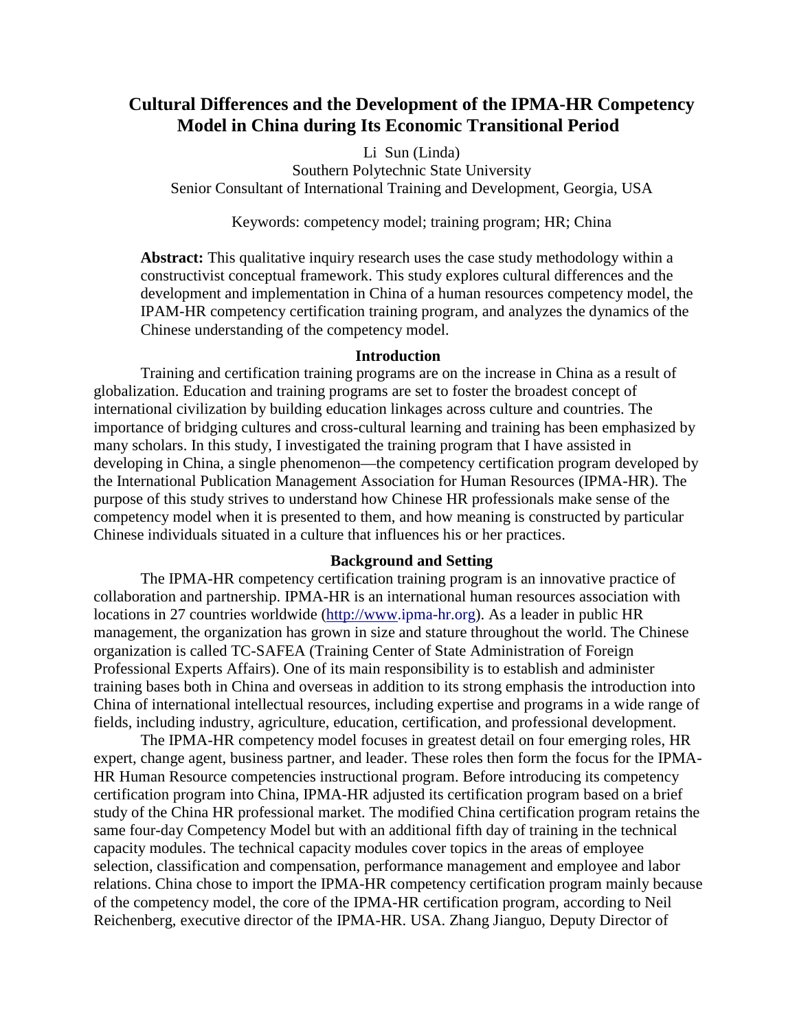## **Cultural Differences and the Development of the IPMA-HR Competency Model in China during Its Economic Transitional Period**

## Li Sun (Linda)

Southern Polytechnic State University Senior Consultant of International Training and Development, Georgia, USA

Keywords: competency model; training program; HR; China

**Abstract:** This qualitative inquiry research uses the case study methodology within a constructivist conceptual framework. This study explores cultural differences and the development and implementation in China of a human resources competency model, the IPAM-HR competency certification training program, and analyzes the dynamics of the Chinese understanding of the competency model.

## **Introduction**

Training and certification training programs are on the increase in China as a result of globalization. Education and training programs are set to foster the broadest concept of international civilization by building education linkages across culture and countries. The importance of bridging cultures and cross-cultural learning and training has been emphasized by many scholars. In this study, I investigated the training program that I have assisted in developing in China, a single phenomenon—the competency certification program developed by the International Publication Management Association for Human Resources (IPMA-HR). The purpose of this study strives to understand how Chinese HR professionals make sense of the competency model when it is presented to them, and how meaning is constructed by particular Chinese individuals situated in a culture that influences his or her practices.

## **Background and Setting**

The IPMA-HR competency certification training program is an innovative practice of collaboration and partnership. IPMA-HR is an international human resources association with locations in 27 countries worldwide (http://www.ipma-hr.org). As a leader in public HR management, the organization has grown in size and stature throughout the world. The Chinese organization is called TC-SAFEA (Training Center of State Administration of Foreign Professional Experts Affairs). One of its main responsibility is to establish and administer training bases both in China and overseas in addition to its strong emphasis the introduction into China of international intellectual resources, including expertise and programs in a wide range of fields, including industry, agriculture, education, certification, and professional development.

The IPMA-HR competency model focuses in greatest detail on four emerging roles, HR expert, change agent, business partner, and leader. These roles then form the focus for the IPMA-HR Human Resource competencies instructional program. Before introducing its competency certification program into China, IPMA-HR adjusted its certification program based on a brief study of the China HR professional market. The modified China certification program retains the same four-day Competency Model but with an additional fifth day of training in the technical capacity modules. The technical capacity modules cover topics in the areas of employee selection, classification and compensation, performance management and employee and labor relations. China chose to import the IPMA-HR competency certification program mainly because of the competency model, the core of the IPMA-HR certification program, according to Neil Reichenberg, executive director of the IPMA-HR. USA. Zhang Jianguo, Deputy Director of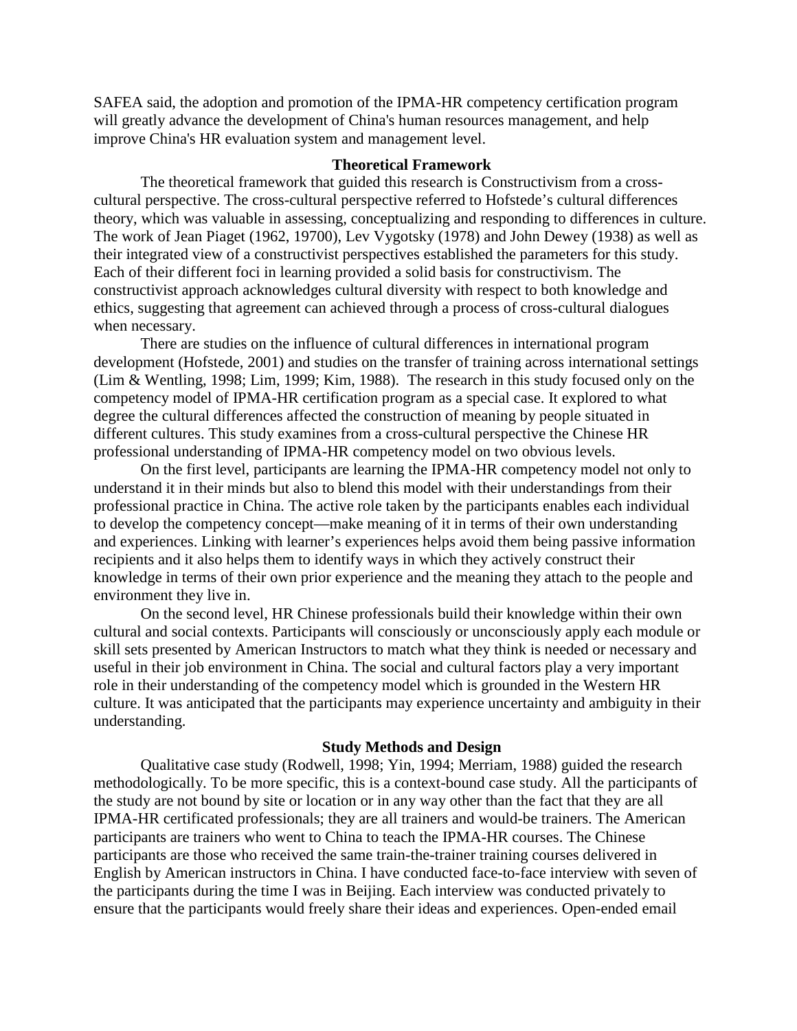SAFEA said, the adoption and promotion of the IPMA-HR competency certification program will greatly advance the development of China's human resources management, and help improve China's HR evaluation system and management level.

## **Theoretical Framework**

The theoretical framework that guided this research is Constructivism from a crosscultural perspective. The cross-cultural perspective referred to Hofstede's cultural differences theory, which was valuable in assessing, conceptualizing and responding to differences in culture. The work of Jean Piaget (1962, 19700), Lev Vygotsky (1978) and John Dewey (1938) as well as their integrated view of a constructivist perspectives established the parameters for this study. Each of their different foci in learning provided a solid basis for constructivism. The constructivist approach acknowledges cultural diversity with respect to both knowledge and ethics, suggesting that agreement can achieved through a process of cross-cultural dialogues when necessary.

There are studies on the influence of cultural differences in international program development (Hofstede, 2001) and studies on the transfer of training across international settings (Lim & Wentling, 1998; Lim, 1999; Kim, 1988). The research in this study focused only on the competency model of IPMA-HR certification program as a special case. It explored to what degree the cultural differences affected the construction of meaning by people situated in different cultures. This study examines from a cross-cultural perspective the Chinese HR professional understanding of IPMA-HR competency model on two obvious levels.

On the first level, participants are learning the IPMA-HR competency model not only to understand it in their minds but also to blend this model with their understandings from their professional practice in China. The active role taken by the participants enables each individual to develop the competency concept—make meaning of it in terms of their own understanding and experiences. Linking with learner's experiences helps avoid them being passive information recipients and it also helps them to identify ways in which they actively construct their knowledge in terms of their own prior experience and the meaning they attach to the people and environment they live in.

On the second level, HR Chinese professionals build their knowledge within their own cultural and social contexts. Participants will consciously or unconsciously apply each module or skill sets presented by American Instructors to match what they think is needed or necessary and useful in their job environment in China. The social and cultural factors play a very important role in their understanding of the competency model which is grounded in the Western HR culture. It was anticipated that the participants may experience uncertainty and ambiguity in their understanding.

#### **Study Methods and Design**

Qualitative case study (Rodwell, 1998; Yin, 1994; Merriam, 1988) guided the research methodologically. To be more specific, this is a context-bound case study. All the participants of the study are not bound by site or location or in any way other than the fact that they are all IPMA-HR certificated professionals; they are all trainers and would-be trainers. The American participants are trainers who went to China to teach the IPMA-HR courses. The Chinese participants are those who received the same train-the-trainer training courses delivered in English by American instructors in China. I have conducted face-to-face interview with seven of the participants during the time I was in Beijing. Each interview was conducted privately to ensure that the participants would freely share their ideas and experiences. Open-ended email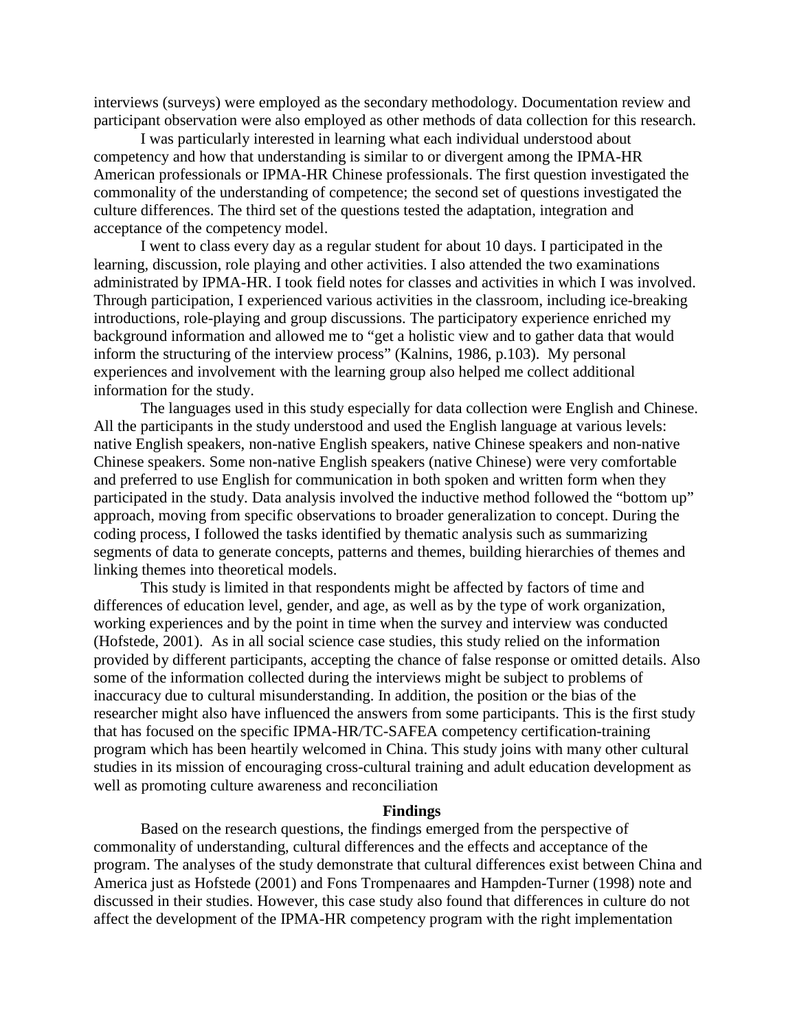interviews (surveys) were employed as the secondary methodology. Documentation review and participant observation were also employed as other methods of data collection for this research.

I was particularly interested in learning what each individual understood about competency and how that understanding is similar to or divergent among the IPMA-HR American professionals or IPMA-HR Chinese professionals. The first question investigated the commonality of the understanding of competence; the second set of questions investigated the culture differences. The third set of the questions tested the adaptation, integration and acceptance of the competency model.

I went to class every day as a regular student for about 10 days. I participated in the learning, discussion, role playing and other activities. I also attended the two examinations administrated by IPMA-HR. I took field notes for classes and activities in which I was involved. Through participation, I experienced various activities in the classroom, including ice-breaking introductions, role-playing and group discussions. The participatory experience enriched my background information and allowed me to "get a holistic view and to gather data that would inform the structuring of the interview process" (Kalnins, 1986, p.103). My personal experiences and involvement with the learning group also helped me collect additional information for the study.

The languages used in this study especially for data collection were English and Chinese. All the participants in the study understood and used the English language at various levels: native English speakers, non-native English speakers, native Chinese speakers and non-native Chinese speakers. Some non-native English speakers (native Chinese) were very comfortable and preferred to use English for communication in both spoken and written form when they participated in the study. Data analysis involved the inductive method followed the "bottom up" approach, moving from specific observations to broader generalization to concept. During the coding process, I followed the tasks identified by thematic analysis such as summarizing segments of data to generate concepts, patterns and themes, building hierarchies of themes and linking themes into theoretical models.

This study is limited in that respondents might be affected by factors of time and differences of education level, gender, and age, as well as by the type of work organization, working experiences and by the point in time when the survey and interview was conducted (Hofstede, 2001). As in all social science case studies, this study relied on the information provided by different participants, accepting the chance of false response or omitted details. Also some of the information collected during the interviews might be subject to problems of inaccuracy due to cultural misunderstanding. In addition, the position or the bias of the researcher might also have influenced the answers from some participants. This is the first study that has focused on the specific IPMA-HR/TC-SAFEA competency certification-training program which has been heartily welcomed in China. This study joins with many other cultural studies in its mission of encouraging cross-cultural training and adult education development as well as promoting culture awareness and reconciliation

## **Findings**

Based on the research questions, the findings emerged from the perspective of commonality of understanding, cultural differences and the effects and acceptance of the program. The analyses of the study demonstrate that cultural differences exist between China and America just as Hofstede (2001) and Fons Trompenaares and Hampden-Turner (1998) note and discussed in their studies. However, this case study also found that differences in culture do not affect the development of the IPMA-HR competency program with the right implementation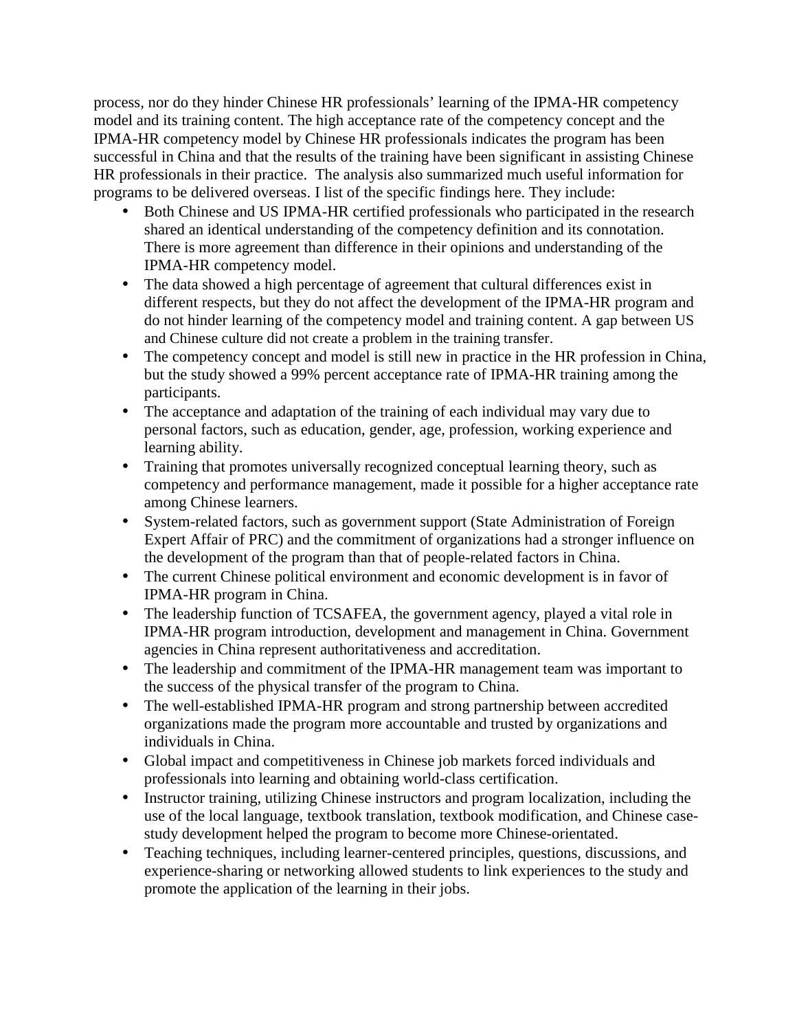process, nor do they hinder Chinese HR professionals' learning of the IPMA-HR competency model and its training content. The high acceptance rate of the competency concept and the IPMA-HR competency model by Chinese HR professionals indicates the program has been successful in China and that the results of the training have been significant in assisting Chinese HR professionals in their practice. The analysis also summarized much useful information for programs to be delivered overseas. I list of the specific findings here. They include:

- Both Chinese and US IPMA-HR certified professionals who participated in the research shared an identical understanding of the competency definition and its connotation. There is more agreement than difference in their opinions and understanding of the IPMA-HR competency model.
- The data showed a high percentage of agreement that cultural differences exist in different respects, but they do not affect the development of the IPMA-HR program and do not hinder learning of the competency model and training content. A gap between US and Chinese culture did not create a problem in the training transfer.
- The competency concept and model is still new in practice in the HR profession in China, but the study showed a 99% percent acceptance rate of IPMA-HR training among the participants.
- The acceptance and adaptation of the training of each individual may vary due to personal factors, such as education, gender, age, profession, working experience and learning ability.
- Training that promotes universally recognized conceptual learning theory, such as competency and performance management, made it possible for a higher acceptance rate among Chinese learners.
- System-related factors, such as government support (State Administration of Foreign Expert Affair of PRC) and the commitment of organizations had a stronger influence on the development of the program than that of people-related factors in China.
- The current Chinese political environment and economic development is in favor of IPMA-HR program in China.
- The leadership function of TCSAFEA, the government agency, played a vital role in IPMA-HR program introduction, development and management in China. Government agencies in China represent authoritativeness and accreditation.
- The leadership and commitment of the IPMA-HR management team was important to the success of the physical transfer of the program to China.
- The well-established IPMA-HR program and strong partnership between accredited organizations made the program more accountable and trusted by organizations and individuals in China.
- Global impact and competitiveness in Chinese job markets forced individuals and professionals into learning and obtaining world-class certification.
- Instructor training, utilizing Chinese instructors and program localization, including the use of the local language, textbook translation, textbook modification, and Chinese casestudy development helped the program to become more Chinese-orientated.
- Teaching techniques, including learner-centered principles, questions, discussions, and experience-sharing or networking allowed students to link experiences to the study and promote the application of the learning in their jobs.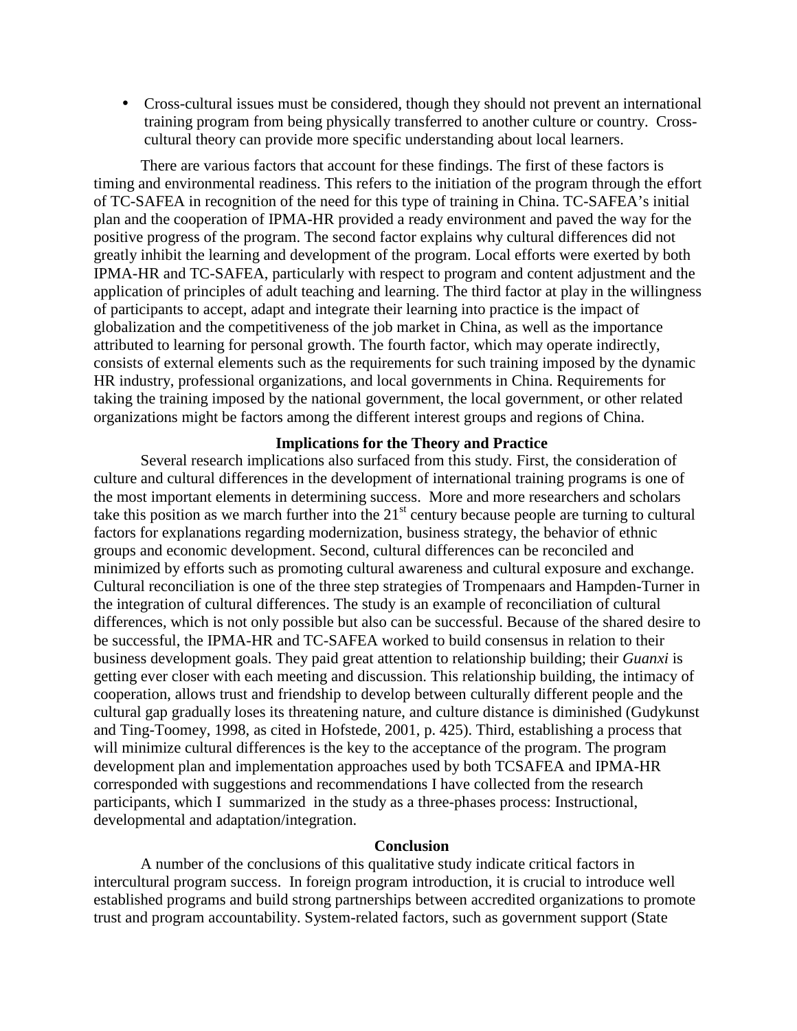• Cross-cultural issues must be considered, though they should not prevent an international training program from being physically transferred to another culture or country. Crosscultural theory can provide more specific understanding about local learners.

There are various factors that account for these findings. The first of these factors is timing and environmental readiness. This refers to the initiation of the program through the effort of TC-SAFEA in recognition of the need for this type of training in China. TC-SAFEA's initial plan and the cooperation of IPMA-HR provided a ready environment and paved the way for the positive progress of the program. The second factor explains why cultural differences did not greatly inhibit the learning and development of the program. Local efforts were exerted by both IPMA-HR and TC-SAFEA, particularly with respect to program and content adjustment and the application of principles of adult teaching and learning. The third factor at play in the willingness of participants to accept, adapt and integrate their learning into practice is the impact of globalization and the competitiveness of the job market in China, as well as the importance attributed to learning for personal growth. The fourth factor, which may operate indirectly, consists of external elements such as the requirements for such training imposed by the dynamic HR industry, professional organizations, and local governments in China. Requirements for taking the training imposed by the national government, the local government, or other related organizations might be factors among the different interest groups and regions of China.

## **Implications for the Theory and Practice**

Several research implications also surfaced from this study. First, the consideration of culture and cultural differences in the development of international training programs is one of the most important elements in determining success. More and more researchers and scholars take this position as we march further into the  $21<sup>st</sup>$  century because people are turning to cultural factors for explanations regarding modernization, business strategy, the behavior of ethnic groups and economic development. Second, cultural differences can be reconciled and minimized by efforts such as promoting cultural awareness and cultural exposure and exchange. Cultural reconciliation is one of the three step strategies of Trompenaars and Hampden-Turner in the integration of cultural differences. The study is an example of reconciliation of cultural differences, which is not only possible but also can be successful. Because of the shared desire to be successful, the IPMA-HR and TC-SAFEA worked to build consensus in relation to their business development goals. They paid great attention to relationship building; their *Guanxi* is getting ever closer with each meeting and discussion. This relationship building, the intimacy of cooperation, allows trust and friendship to develop between culturally different people and the cultural gap gradually loses its threatening nature, and culture distance is diminished (Gudykunst and Ting-Toomey, 1998, as cited in Hofstede, 2001, p. 425). Third, establishing a process that will minimize cultural differences is the key to the acceptance of the program. The program development plan and implementation approaches used by both TCSAFEA and IPMA-HR corresponded with suggestions and recommendations I have collected from the research participants, which I summarized in the study as a three-phases process: Instructional, developmental and adaptation/integration.

### **Conclusion**

A number of the conclusions of this qualitative study indicate critical factors in intercultural program success. In foreign program introduction, it is crucial to introduce well established programs and build strong partnerships between accredited organizations to promote trust and program accountability. System-related factors, such as government support (State